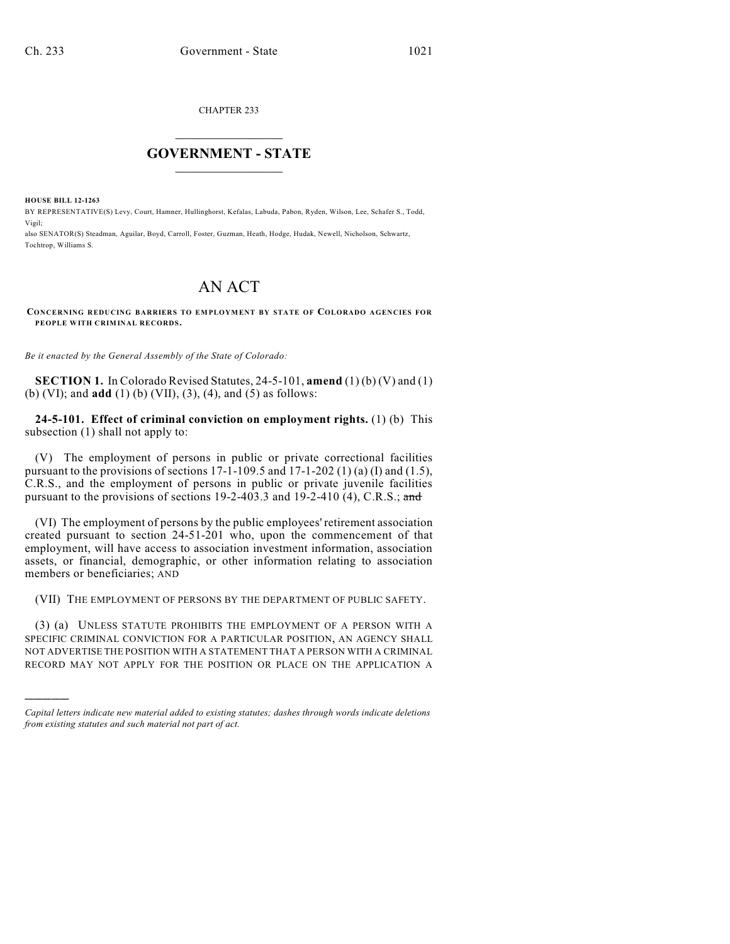CHAPTER 233

## $\mathcal{L}_\text{max}$  . The set of the set of the set of the set of the set of the set of the set of the set of the set of the set of the set of the set of the set of the set of the set of the set of the set of the set of the set **GOVERNMENT - STATE**  $\_$   $\_$   $\_$   $\_$   $\_$   $\_$   $\_$   $\_$

**HOUSE BILL 12-1263**

)))))

BY REPRESENTATIVE(S) Levy, Court, Hamner, Hullinghorst, Kefalas, Labuda, Pabon, Ryden, Wilson, Lee, Schafer S., Todd, Vigil;

also SENATOR(S) Steadman, Aguilar, Boyd, Carroll, Foster, Guzman, Heath, Hodge, Hudak, Newell, Nicholson, Schwartz, Tochtrop, Williams S.

## AN ACT

**CONCERNING REDUCING BARRIERS TO EMPLOYMENT BY STATE OF COLORADO AGENCIES FOR PEOPLE WITH CRIMINAL RECORDS.**

*Be it enacted by the General Assembly of the State of Colorado:*

**SECTION 1.** In Colorado Revised Statutes, 24-5-101, **amend** (1) (b) (V) and (1) (b) (VI); and **add** (1) (b) (VII), (3), (4), and (5) as follows:

**24-5-101. Effect of criminal conviction on employment rights.** (1) (b) This subsection (1) shall not apply to:

(V) The employment of persons in public or private correctional facilities pursuant to the provisions of sections 17-1-109.5 and 17-1-202 (1) (a) (I) and (1.5), C.R.S., and the employment of persons in public or private juvenile facilities pursuant to the provisions of sections 19-2-403.3 and 19-2-410  $(4)$ , C.R.S.; and

(VI) The employment of persons by the public employees' retirement association created pursuant to section 24-51-201 who, upon the commencement of that employment, will have access to association investment information, association assets, or financial, demographic, or other information relating to association members or beneficiaries; AND

(VII) THE EMPLOYMENT OF PERSONS BY THE DEPARTMENT OF PUBLIC SAFETY.

(3) (a) UNLESS STATUTE PROHIBITS THE EMPLOYMENT OF A PERSON WITH A SPECIFIC CRIMINAL CONVICTION FOR A PARTICULAR POSITION, AN AGENCY SHALL NOT ADVERTISE THE POSITION WITH A STATEMENT THAT A PERSON WITH A CRIMINAL RECORD MAY NOT APPLY FOR THE POSITION OR PLACE ON THE APPLICATION A

*Capital letters indicate new material added to existing statutes; dashes through words indicate deletions from existing statutes and such material not part of act.*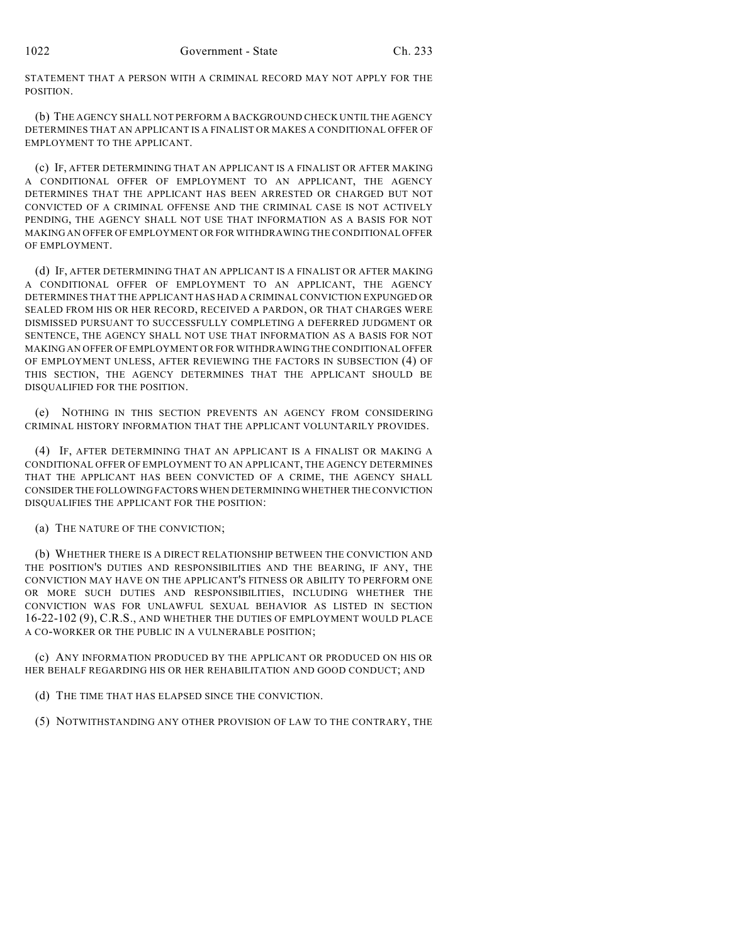STATEMENT THAT A PERSON WITH A CRIMINAL RECORD MAY NOT APPLY FOR THE POSITION.

(b) THE AGENCY SHALL NOT PERFORM A BACKGROUND CHECK UNTIL THE AGENCY DETERMINES THAT AN APPLICANT IS A FINALIST OR MAKES A CONDITIONAL OFFER OF EMPLOYMENT TO THE APPLICANT.

(c) IF, AFTER DETERMINING THAT AN APPLICANT IS A FINALIST OR AFTER MAKING A CONDITIONAL OFFER OF EMPLOYMENT TO AN APPLICANT, THE AGENCY DETERMINES THAT THE APPLICANT HAS BEEN ARRESTED OR CHARGED BUT NOT CONVICTED OF A CRIMINAL OFFENSE AND THE CRIMINAL CASE IS NOT ACTIVELY PENDING, THE AGENCY SHALL NOT USE THAT INFORMATION AS A BASIS FOR NOT MAKING AN OFFER OF EMPLOYMENT OR FOR WITHDRAWING THE CONDITIONAL OFFER OF EMPLOYMENT.

(d) IF, AFTER DETERMINING THAT AN APPLICANT IS A FINALIST OR AFTER MAKING A CONDITIONAL OFFER OF EMPLOYMENT TO AN APPLICANT, THE AGENCY DETERMINES THAT THE APPLICANT HAS HAD A CRIMINAL CONVICTION EXPUNGED OR SEALED FROM HIS OR HER RECORD, RECEIVED A PARDON, OR THAT CHARGES WERE DISMISSED PURSUANT TO SUCCESSFULLY COMPLETING A DEFERRED JUDGMENT OR SENTENCE, THE AGENCY SHALL NOT USE THAT INFORMATION AS A BASIS FOR NOT MAKING AN OFFER OF EMPLOYMENT OR FOR WITHDRAWING THE CONDITIONAL OFFER OF EMPLOYMENT UNLESS, AFTER REVIEWING THE FACTORS IN SUBSECTION (4) OF THIS SECTION, THE AGENCY DETERMINES THAT THE APPLICANT SHOULD BE DISQUALIFIED FOR THE POSITION.

(e) NOTHING IN THIS SECTION PREVENTS AN AGENCY FROM CONSIDERING CRIMINAL HISTORY INFORMATION THAT THE APPLICANT VOLUNTARILY PROVIDES.

(4) IF, AFTER DETERMINING THAT AN APPLICANT IS A FINALIST OR MAKING A CONDITIONAL OFFER OF EMPLOYMENT TO AN APPLICANT, THE AGENCY DETERMINES THAT THE APPLICANT HAS BEEN CONVICTED OF A CRIME, THE AGENCY SHALL CONSIDER THE FOLLOWINGFACTORS WHEN DETERMINING WHETHER THECONVICTION DISQUALIFIES THE APPLICANT FOR THE POSITION:

(a) THE NATURE OF THE CONVICTION;

(b) WHETHER THERE IS A DIRECT RELATIONSHIP BETWEEN THE CONVICTION AND THE POSITION'S DUTIES AND RESPONSIBILITIES AND THE BEARING, IF ANY, THE CONVICTION MAY HAVE ON THE APPLICANT'S FITNESS OR ABILITY TO PERFORM ONE OR MORE SUCH DUTIES AND RESPONSIBILITIES, INCLUDING WHETHER THE CONVICTION WAS FOR UNLAWFUL SEXUAL BEHAVIOR AS LISTED IN SECTION 16-22-102 (9), C.R.S., AND WHETHER THE DUTIES OF EMPLOYMENT WOULD PLACE A CO-WORKER OR THE PUBLIC IN A VULNERABLE POSITION;

(c) ANY INFORMATION PRODUCED BY THE APPLICANT OR PRODUCED ON HIS OR HER BEHALF REGARDING HIS OR HER REHABILITATION AND GOOD CONDUCT; AND

(d) THE TIME THAT HAS ELAPSED SINCE THE CONVICTION.

(5) NOTWITHSTANDING ANY OTHER PROVISION OF LAW TO THE CONTRARY, THE